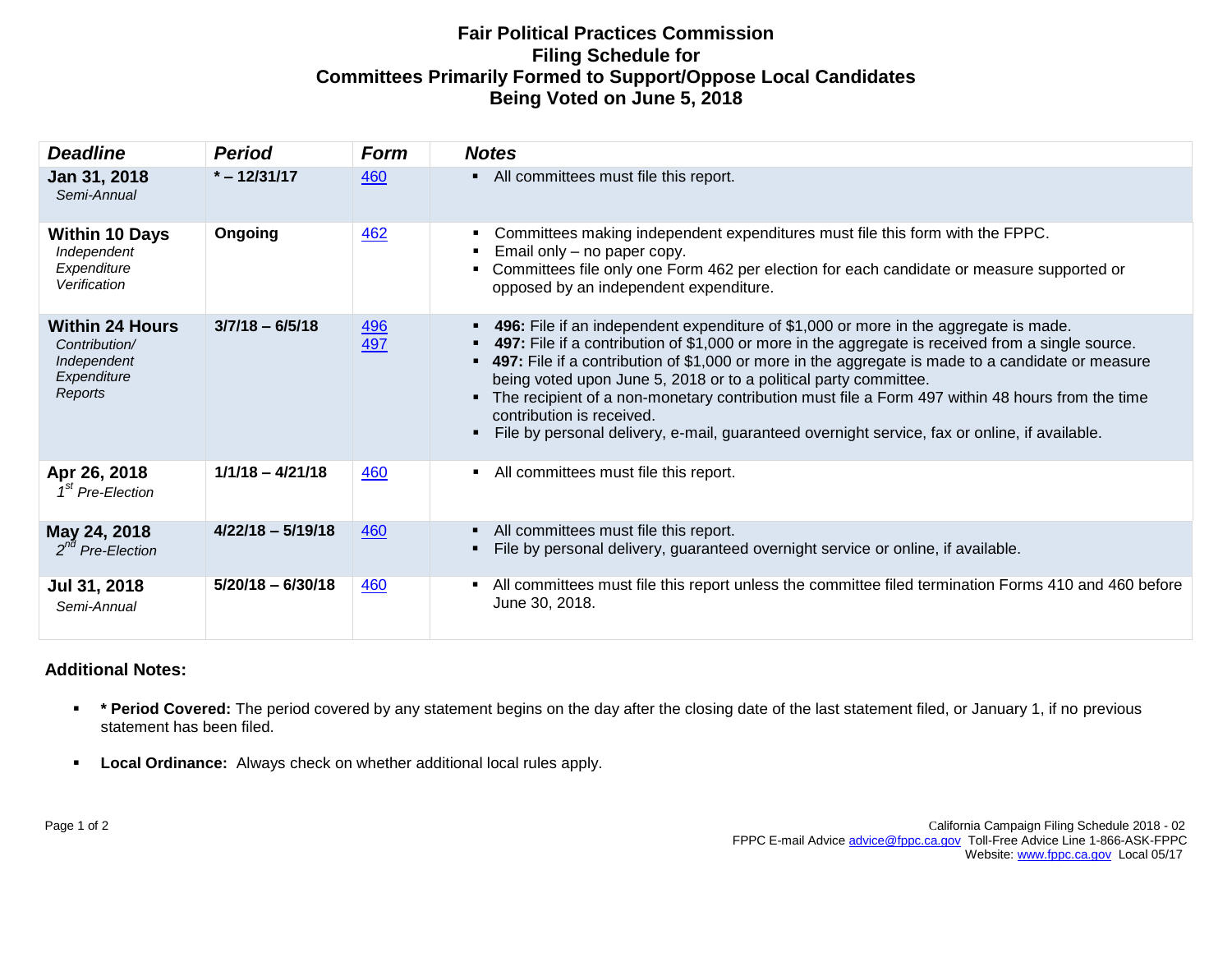## **Fair Political Practices Commission Filing Schedule for Committees Primarily Formed to Support/Oppose Local Candidates Being Voted on June 5, 2018**

| <b>Deadline</b>                                                                  | <b>Period</b>       | Form              | <b>Notes</b>                                                                                                                                                                                                                                                                                                                                                                                                                                                                                                                                                                                                 |
|----------------------------------------------------------------------------------|---------------------|-------------------|--------------------------------------------------------------------------------------------------------------------------------------------------------------------------------------------------------------------------------------------------------------------------------------------------------------------------------------------------------------------------------------------------------------------------------------------------------------------------------------------------------------------------------------------------------------------------------------------------------------|
| Jan 31, 2018<br>Semi-Annual                                                      | $* - 12/31/17$      | 460               | • All committees must file this report.                                                                                                                                                                                                                                                                                                                                                                                                                                                                                                                                                                      |
| <b>Within 10 Days</b><br>Independent<br>Expenditure<br>Verification              | Ongoing             | 462               | Committees making independent expenditures must file this form with the FPPC.<br>Email only - no paper copy.<br>Committees file only one Form 462 per election for each candidate or measure supported or<br>opposed by an independent expenditure.                                                                                                                                                                                                                                                                                                                                                          |
| <b>Within 24 Hours</b><br>Contribution/<br>Independent<br>Expenditure<br>Reports | $3/7/18 - 6/5/18$   | <u>496</u><br>497 | 496: File if an independent expenditure of \$1,000 or more in the aggregate is made.<br><b>497:</b> File if a contribution of \$1,000 or more in the aggregate is received from a single source.<br>• 497: File if a contribution of \$1,000 or more in the aggregate is made to a candidate or measure<br>being voted upon June 5, 2018 or to a political party committee.<br>The recipient of a non-monetary contribution must file a Form 497 within 48 hours from the time<br>contribution is received.<br>File by personal delivery, e-mail, guaranteed overnight service, fax or online, if available. |
| Apr 26, 2018<br>1 <sup>st</sup> Pre-Election                                     | $1/1/18 - 4/21/18$  | 460               | All committees must file this report.                                                                                                                                                                                                                                                                                                                                                                                                                                                                                                                                                                        |
| May 24, 2018<br>$2^{nd}$ Pre-Election                                            | $4/22/18 - 5/19/18$ | 460               | All committees must file this report.<br>File by personal delivery, guaranteed overnight service or online, if available.                                                                                                                                                                                                                                                                                                                                                                                                                                                                                    |
| Jul 31, 2018<br>Semi-Annual                                                      | $5/20/18 - 6/30/18$ | 460               | All committees must file this report unless the committee filed termination Forms 410 and 460 before<br>$\blacksquare$<br>June 30, 2018.                                                                                                                                                                                                                                                                                                                                                                                                                                                                     |

## **Additional Notes:**

- **\*** \* Period Covered: The period covered by any statement begins on the day after the closing date of the last statement filed, or January 1, if no previous statement has been filed.
- **Local Ordinance:** Always check on whether additional local rules apply.

Page 1 of 2California Campaign Filing Schedule 2018 - 02 FPPC E-mail Advic[e advice@fppc.ca.gov](mailto:advice@fppc.ca.gov) Toll-Free Advice Line 1-866-ASK-FPPC Website: [www.fppc.ca.gov](http://www.fppc.ca.gov/) Local 05/17